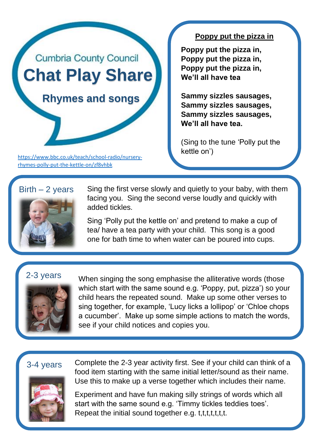# **Cumbria County Council Chat Play Share**

 **Rhymes and songs**

[https://www.bbc.co.uk/teach/school-radio/nursery](https://www.bbc.co.uk/teach/school-radio/nursery-rhymes-polly-put-the-kettle-on/zf8vhbk)[rhymes-polly-put-the-kettle-on/zf8vhbk](https://www.bbc.co.uk/teach/school-radio/nursery-rhymes-polly-put-the-kettle-on/zf8vhbk)

#### **Poppy put the pizza in**

**Poppy put the pizza in, Poppy put the pizza in, Poppy put the pizza in, We'll all have tea**

**Sammy sizzles sausages, Sammy sizzles sausages, Sammy sizzles sausages, We'll all have tea.**

(Sing to the tune 'Polly put the kettle on')

### $Birth - 2 years$



Sing the first verse slowly and quietly to your baby, with them facing you. Sing the second verse loudly and quickly with added tickles.

Sing 'Polly put the kettle on' and pretend to make a cup of tea/ have a tea party with your child. This song is a good one for bath time to when water can be poured into cups.

## 2-3 years



When singing the song emphasise the alliterative words (those which start with the same sound e.g. 'Poppy, put, pizza') so your child hears the repeated sound. Make up some other verses to sing together, for example, 'Lucy licks a lollipop' or 'Chloe chops a cucumber'. Make up some simple actions to match the words, see if your child notices and copies you.

## 3-4 years



Complete the 2-3 year activity first. See if your child can think of a food item starting with the same initial letter/sound as their name. Use this to make up a verse together which includes their name.

Experiment and have fun making silly strings of words which all start with the same sound e.g. 'Timmy tickles teddies toes'. Repeat the initial sound together e.g. t,t,t,t,t,t,t.